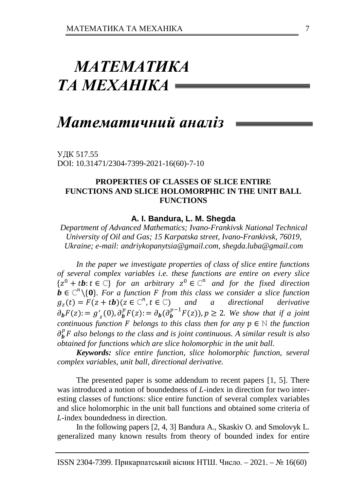# *МАТЕМАТИКА ТА МЕХАНІКА*

# *Математичний аналіз*

УДК 517.55 DOI: 10.31471/2304-7399-2021-16(60)-7-10

## **PROPERTIES OF CLASSES OF SLICE ENTIRE FUNCTIONS AND SLICE HOLOMORPHIC IN THE UNIT BALL FUNCTIONS**

#### **A. I. Bandura, L. M. Shegda**

*Department of Advanced Mathematics; Ivano-Frankivsk National Technical University of Oil and Gas; 15 Karpatska street, Ivano-Frankivsk, 76019, Ukraine; e-mail: [andriykopanytsia@gmail.com,](mailto:andriykopanytsia@gmail.com) shegda.luba@gmail.com*

*In the paper we investigate properties of class of slice entire functions of several complex variables i.e. these functions are entire on every slice*   ${z<sup>0</sup> + tb: t \in \mathbb{C}}$  *for an arbitrary*  $z<sup>0</sup> \in \mathbb{C}^n$  *and for the fixed direction b* ∈  $\mathbb{C}^n \setminus \{0\}$ . For a function **F** from this class we consider a slice function  $g_z(t) = F(z + t\mathbf{b})(z \in \mathbb{C}^n, t \in \mathbb{C})$  and a directional derivative  $g_z(t) = F(z + t\mathbf{b})(z \in \mathbb{C}^n, t \in \mathbb{C})$  $\partial_b F(z) = g'_{z}(0), \partial_b^p F(z) = \partial_b(\partial_b^{p-1} F(z)), p \ge 2$ . We show that if a joint *continuous function F belongs to this class then for any*  $p \in \mathbb{N}$  *the function*  $\partial_b^p F$  also belongs to the class and is joint continuous. A similar result is also *obtained for functions which are slice holomorphic in the unit ball.* 

*Keywords: slice entire function, slice holomorphic function, several complex variables, unit ball, directional derivative.*

The presented paper is some addendum to recent papers [1, 5]. There was introduced a notion of boundedness of L-index in direction for two interesting classes of functions: slice entire function of several complex variables and slice holomorphic in the unit ball functions and obtained some criteria of -index boundedness in direction.

In the following papers [2, 4, 3] Bandura A., Skaskiv O. and Smolovyk L. generalized many known results from theory of bounded index for entire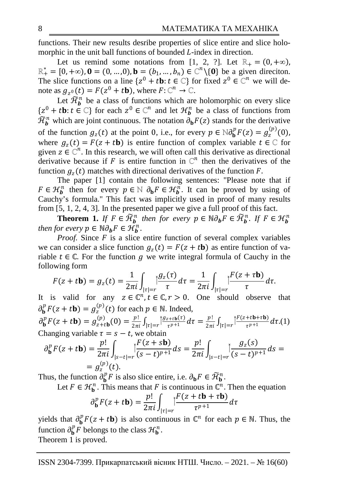functions. Their new results desribe properties of slice entire and slice holomorphic in the unit ball functions of bounded  $L$ -index in direction.

Let us remind some notations from [1, 2, ?]. Let  $\mathbb{R}_+ = (0, +\infty)$ ,  $\mathbb{R}^*_+ = [0, +\infty)$ , **0** = (0, ..., 0), **b** = (b<sub>1</sub>, ..., b<sub>n</sub>) ∈  $\mathbb{C}^n \setminus \{0\}$  be a given direciton. The slice functions on a line  $\{z^0 + t\mathbf{b}: t \in \mathbb{C}\}\$  for fixed  $z^0 \in \mathbb{C}^n$  we will denote as  $g_{z^0}(t) = F(z^0 + t\mathbf{b})$ , where  $F: \mathbb{C}^n \to \mathbb{C}$ .

Let  $\mathcal{H}_{\boldsymbol{b}}^n$  be a class of functions which are holomorphic on every slice  $\{z^0 + t\mathbf{b}: t \in \mathbb{C}\}$  for each  $z^0 \in \mathbb{C}^n$  and let  $\mathcal{H}_{\mathbf{b}}^n$  be a class of functions from  $\mathcal{H}_{\boldsymbol{b}}^n$  which are joint continuous. The notation  $\partial_{\boldsymbol{b}} F(z)$  stands for the derivative of the function  $g_z(t)$  at the point 0, i.e., for every  $p \in \mathbb{N} \partial_{b}^{p} F(z) = g_z^{(p)}(0)$ , where  $g_z(t) = F(z + t\mathbf{b})$  is entire function of complex variable  $t \in \mathbb{C}$  for given  $z \in \mathbb{C}^n$ . In this research, we will often call this derivative as directional derivative because if F is entire function in  $\mathbb{C}^n$  then the derivatives of the function  $q<sub>z</sub>(t)$  matches with directional derivatives of the function F.

The paper [1] contain the following sentences: "Please note that if  $F \in \mathcal{H}_{b}^{n}$  then for every  $p \in \mathbb{N}$   $\partial_{b} F \in \mathcal{H}_{b}^{n}$ . It can be proved by using of Cauchy's formula." This fact was implicitly used in proof of many results from [5, 1, 2, 4, 3]. In the presented paper we give a full proof of this fact.

**Theorem 1.** *If*  $F \in \widetilde{\mathcal{H}}_b^n$  then for every  $p \in \mathbb{N} \partial_b F \in \widetilde{\mathcal{H}}_b^n$ . If  $F \in \mathcal{H}_b^n$ *then for every*  $p \in \mathbb{N} \partial_b F \in \mathcal{H}_b^n$ .

*Proof.* Since  $F$  is a slice entire function of several complex variables we can consider a slice function  $g_z(t) = F(z + t\mathbf{b})$  as entire function of variable  $t \in \mathbb{C}$ . For the function g we write integral formula of Cauchy in the following form

$$
F(z+t\mathbf{b})=g_z(t)=\frac{1}{2\pi i}\int_{|\tau|=r}\left|\frac{g_z(\tau)}{\tau}d\tau\right|=\frac{1}{2\pi i}\int_{|\tau|=r}\left|\frac{F(z+\tau\mathbf{b})}{\tau}d\tau.\right|
$$

It is valid for any  $z \in \mathbb{C}^n$ ,  $t \in \mathbb{C}$ ,  $r > 0$ . One should observe that  $\partial_{\mathbf{b}}^p F(z + t \mathbf{b}) = g_z^{(p)}(t)$  for each  $p \in \mathbb{N}$ . Indeed,

 $\partial_{\mathbf{b}}^p F(z+t\mathbf{b}) = g_{z+t\mathbf{b}}^{(p)}(0) = \frac{p!}{2\pi i} \int_{|\tau|=r} \left| \frac{g_{z+t\mathbf{b}}(\tau)}{\tau^{p+1}} d\tau \right| = \frac{p!}{2\pi i} \int_{|\tau|=r} \left| \frac{f'(z+t\mathbf{b}+\tau\mathbf{b})}{\tau^{p+1}} d\tau \right| d\tau.$ Changing variable  $\tau = s - t$ , we obtain

$$
\partial_{\mathbf{b}}^{p} F(z+t\mathbf{b}) = \frac{p!}{2\pi i} \int_{|s-t|=r} \left| \frac{F(z+s\mathbf{b})}{(s-t)^{p+1}} \right| ds = \frac{p!}{2\pi i} \int_{|s-t|=r} \left| \frac{g_z(s)}{(s-t)^{p+1}} \right| ds =
$$
  
=  $g_z^{(p)}(t)$ .

Thus, the function  $\partial_{\mathbf{b}}^p F$  is also slice entire, i.e.  $\partial_{\mathbf{b}} F \in \widetilde{\mathcal{H}}_{\mathbf{b}}^n$ .

Let  $F \in \mathcal{H}_{\mathbf{b}}^n$ . This means that F is continuous in  $\mathbb{C}^n$ . Then the equation

$$
\partial_{\mathbf{b}}^p F(z+t\mathbf{b}) = \frac{p!}{2\pi i} \int_{|\tau|=r} \left| \frac{F(z+t\mathbf{b}+\tau\mathbf{b})}{\tau^{p+1}} \right| dz
$$

yields that  $\partial_{\bf b}^p F(z + t{\bf b})$  is also continuous in  $\mathbb{C}^n$  for each  $p \in \mathbb{N}$ . Thus, the function  $\partial_{\mathbf{b}}^p F$  belongs to the class  $\mathcal{H}_{\mathbf{b}}^n$ .

Theorem 1 is proved.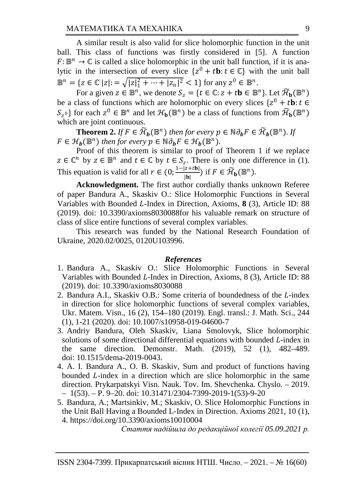A similar result is also valid for slice holomorphic function in the unit ball. This class of functions was firstly considered in [5]. A function  $F: \mathbb{B}^n \to \mathbb{C}$  is called a slice holomorphic in the unit ball function, if it is analytic in the intersection of every slice  $\{z^0 + t\mathbf{b}: t \in \mathbb{C}\}\$  with the unit ball  $\mathbb{B}^n = \{ z \in \mathbb{C}^{\mathbb{I}} |z| := \sqrt{|z|_1^2 + \dots + |z_n|^2} < 1 \}$  for any  $z^0 \in \mathbb{B}^n$ .

For a given  $z \in \mathbb{B}^n$ , we denote  $S_z = \{t \in \mathbb{C} : z + t\mathbf{b} \in \mathbb{B}^n\}$ . Let  $\widetilde{\mathcal{H}}_{\mathbf{b}}(\mathbb{B}^n)$ be a class of functions which are holomorphic on every slices  $\{z^0 + t\mathbf{b}: t \in \mathbb{R}\}$  $S_{z^0}$  for each  $z^0 \in \mathbb{B}^n$  and let  $\mathcal{H}_b(\mathbb{B}^n)$  be a class of functions from  $\widetilde{\mathcal{H}}_b(\mathbb{B}^n)$ which are joint continuous.

**Theorem 2.** *If*  $F \in \widetilde{\mathcal{H}}_b(\mathbb{B}^n)$  *then for every*  $p \in \mathbb{N} \partial_b F \in \widetilde{\mathcal{H}}_b(\mathbb{B}^n)$ *. If*  $F \in \mathcal{H}_h(\mathbb{B}^n)$  then for every  $p \in \mathbb{N} \partial_h F \in \mathcal{H}_h(\mathbb{B}^n)$ .

Proof of this theorem is similar to proof of Theorem 1 if we replace  $z \in \mathbb{C}^n$  by  $z \in \mathbb{B}^n$  and  $t \in \mathbb{C}$  by  $t \in S_z$ . There is only one difference in (1). This equation is valid for all  $r \in (0; \frac{1-|z+tb|}{|b|})$  if  $F \in \widetilde{\mathcal{H}}_{\mathbf{b}}(\mathbb{B}^n)$ .

**Acknowledgment.** The first author cordially thanks unknown Referee of paper Bandura A., Skaskiv O.: Slice Holomorphic Functions in Several Variables with Bounded L-Index in Direction, Axioms, 8 (3), Article ID: 88 (2019). doi: 10.3390/axioms8030088for his valuable remark on structure of class of slice entire functions of several complex variables.

This research was funded by the National Research Foundation of Ukraine, 2020.02/0025, 0120U103996.

#### *References*

- 1. Bandura A., Skaskiv O.: Slice Holomorphic Functions in Several Variables with Bounded L-Index in Direction, Axioms,  $8(3)$ , Article ID:  $88$ (2019). doi: 10.3390/axioms8030088
- 2. Bandura A.I., Skaskiv O.B.: Some criteria of boundedness of the *L*-index in direction for slice holomorphic functions of several complex variables, Ukr. Matem. Visn., 16 (2), 154–180 (2019). Engl. transl.: J. Math. Sci., 244 (1), 1-21 (2020). doi: 10.1007/s10958-019-04600-7
- 3. Andriy Bandura, Oleh Skaskiv, Liana Smolovyk, Slice holomorphic solutions of some directional differential equations with bounded  $L$ -index in the same direction. Demonstr. Math. (2019), 52 (1), 482–489. Math. (2019), 52 (1), 482–489. doi: 10.1515/dema-2019-0043.
- 4. A. I. Bandura A., O. B. Skaskiv, Sum and product of functions having bounded *L*-index in a direction which are slice holomorphic in the same direction. Prykarpatskyi Visn. Nauk. Tov. Im. Shevchenka. Chyslo. – 2019. – 1(53). – P. 9–20. doi: 10.31471/2304-7399-2019-1(53)-9-20
- 5. Bandura, A.; Martsinkiv, M.; Skaskiv, O. Slice Holomorphic Functions in the Unit Ball Having a Bounded L-Index in Direction. Axioms 2021, 10 (1), 4. https://doi.org/10.3390/axioms10010004

*Стаття надійшла до редакційної колегії 05.09.2021 р.*